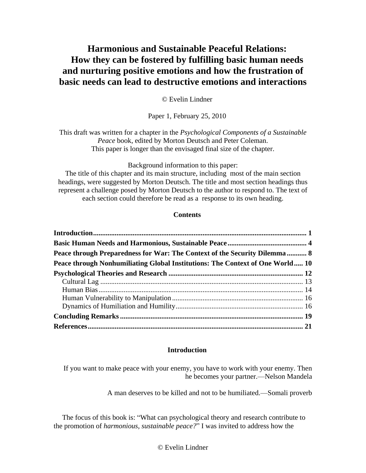# **Harmonious and Sustainable Peaceful Relations: How they can be fostered by fulfilling basic human needs and nurturing positive emotions and how the frustration of basic needs can lead to destructive emotions and interactions**

© Evelin Lindner

Paper 1, February 25, 2010

This draft was written for a chapter in the *Psychological Components of a Sustainable Peace* book, edited by Morton Deutsch and Peter Coleman. This paper is longer than the envisaged final size of the chapter.

Background information to this paper:

The title of this chapter and its main structure, including most of the main section headings, were suggested by Morton Deutsch. The title and most section headings thus represent a challenge posed by Morton Deutsch to the author to respond to. The text of each section could therefore be read as a response to its own heading.

# **Contents**

| Peace through Preparedness for War: The Context of the Security Dilemma  8    |  |
|-------------------------------------------------------------------------------|--|
| Peace through Nonhumiliating Global Institutions: The Context of One World 10 |  |
|                                                                               |  |
|                                                                               |  |
|                                                                               |  |
|                                                                               |  |
|                                                                               |  |
|                                                                               |  |
|                                                                               |  |

# **Introduction**

<span id="page-0-0"></span>If you want to make peace with your enemy, you have to work with your enemy. Then he becomes your partner.—Nelson Mandela

A man deserves to be killed and not to be humiliated.—Somali proverb

The focus of this book is: "What can psychological theory and research contribute to the promotion of *harmonious, sustainable peace?*" I was invited to address how the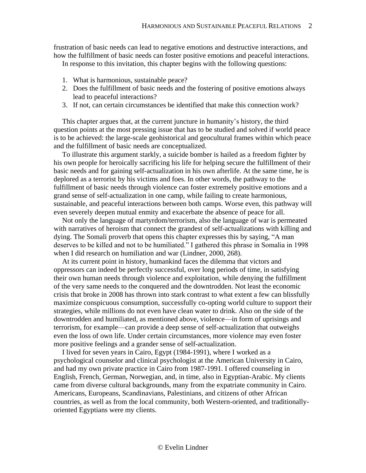frustration of basic needs can lead to negative emotions and destructive interactions, and how the fulfillment of basic needs can foster positive emotions and peaceful interactions. In response to this invitation, this chapter begins with the following questions:

- 1. What is harmonious, sustainable peace?
- 2. Does the fulfillment of basic needs and the fostering of positive emotions always lead to peaceful interactions?
- 3. If not, can certain circumstances be identified that make this connection work?

This chapter argues that, at the current juncture in humanity's history, the third question points at the most pressing issue that has to be studied and solved if world peace is to be achieved: the large-scale geohistorical and geocultural frames within which peace and the fulfillment of basic needs are conceptualized.

To illustrate this argument starkly, a suicide bomber is hailed as a freedom fighter by his own people for heroically sacrificing his life for helping secure the fulfillment of their basic needs and for gaining self-actualization in his own afterlife. At the same time, he is deplored as a terrorist by his victims and foes. In other words, the pathway to the fulfillment of basic needs through violence can foster extremely positive emotions and a grand sense of self-actualization in one camp, while failing to create harmonious, sustainable, and peaceful interactions between both camps. Worse even, this pathway will even severely deepen mutual enmity and exacerbate the absence of peace for all.

Not only the language of martyrdom/terrorism, also the language of war is permeated with narratives of heroism that connect the grandest of self-actualizations with killing and dying. The Somali proverb that opens this chapter expresses this by saying, "A man deserves to be killed and not to be humiliated." I gathered this phrase in Somalia in 1998 when I did research on humiliation and war (Lindner, 2000, 268).

At its current point in history, humankind faces the dilemma that victors and oppressors can indeed be perfectly successful, over long periods of time, in satisfying their own human needs through violence and exploitation, while denying the fulfillment of the very same needs to the conquered and the downtrodden. Not least the economic crisis that broke in 2008 has thrown into stark contrast to what extent a few can blissfully maximize conspicuous consumption, successfully co-opting world culture to support their strategies, while millions do not even have clean water to drink. Also on the side of the downtrodden and humiliated, as mentioned above, violence—in form of uprisings and terrorism, for example—can provide a deep sense of self-actualization that outweighs even the loss of own life. Under certain circumstances, more violence may even foster more positive feelings and a grander sense of self-actualization.

I lived for seven years in Cairo, Egypt (1984-1991), where I worked as a psychological counselor and clinical psychologist at the American University in Cairo, and had my own private practice in Cairo from 1987-1991. I offered counseling in English, French, German, Norwegian, and, in time, also in Egyptian-Arabic. My clients came from diverse cultural backgrounds, many from the expatriate community in Cairo. Americans, Europeans, Scandinavians, Palestinians, and citizens of other African countries, as well as from the local community, both Western-oriented, and traditionallyoriented Egyptians were my clients.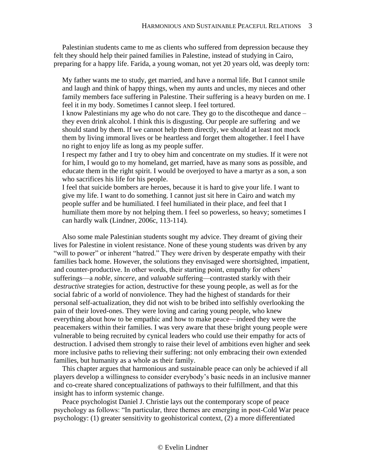Palestinian students came to me as clients who suffered from depression because they felt they should help their pained families in Palestine, instead of studying in Cairo, preparing for a happy life. Farida, a young woman, not yet 20 years old, was deeply torn:

My father wants me to study, get married, and have a normal life. But I cannot smile and laugh and think of happy things, when my aunts and uncles, my nieces and other family members face suffering in Palestine. Their suffering is a heavy burden on me. I feel it in my body. Sometimes I cannot sleep. I feel tortured.

I know Palestinians my age who do not care. They go to the discotheque and dance – they even drink alcohol. I think this is disgusting. Our people are suffering and we should stand by them. If we cannot help them directly, we should at least not mock them by living immoral lives or be heartless and forget them altogether. I feel I have no right to enjoy life as long as my people suffer.

I respect my father and I try to obey him and concentrate on my studies. If it were not for him, I would go to my homeland, get married, have as many sons as possible, and educate them in the right spirit. I would be overjoyed to have a martyr as a son, a son who sacrifices his life for his people.

I feel that suicide bombers are heroes, because it is hard to give your life. I want to give my life. I want to do something. I cannot just sit here in Cairo and watch my people suffer and be humiliated. I feel humiliated in their place, and feel that I humiliate them more by not helping them. I feel so powerless, so heavy; sometimes I can hardly walk (Lindner, 2006c, 113-114).

Also some male Palestinian students sought my advice. They dreamt of giving their lives for Palestine in violent resistance. None of these young students was driven by any "will to power" or inherent "hatred." They were driven by desperate empathy with their families back home. However, the solutions they envisaged were shortsighted, impatient, and counter-productive. In other words, their starting point, empathy for others' sufferings—a *noble*, *sincere*, and *valuable* suffering—contrasted starkly with their *destructive* strategies for action, destructive for these young people, as well as for the social fabric of a world of nonviolence. They had the highest of standards for their personal self-actualization, they did not wish to be bribed into selfishly overlooking the pain of their loved-ones. They were loving and caring young people, who knew everything about how to be empathic and how to make peace—indeed they were the peacemakers within their families. I was very aware that these bright young people were vulnerable to being recruited by cynical leaders who could use their empathy for acts of destruction. I advised them strongly to raise their level of ambitions even higher and seek more inclusive paths to relieving their suffering: not only embracing their own extended families, but humanity as a whole as their family.

This chapter argues that harmonious and sustainable peace can only be achieved if all players develop a willingness to consider everybody's basic needs in an inclusive manner and co-create shared conceptualizations of pathways to their fulfillment, and that this insight has to inform systemic change.

Peace psychologist Daniel J. Christie lays out the contemporary scope of peace psychology as follows: "In particular, three themes are emerging in post-Cold War peace psychology: (1) greater sensitivity to geohistorical context, (2) a more differentiated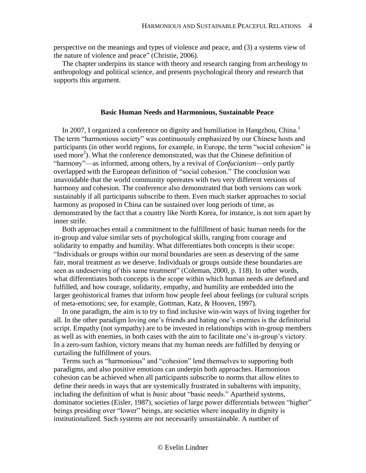perspective on the meanings and types of violence and peace, and (3) a systems view of the nature of violence and peace" (Christie, 2006).

The chapter underpins its stance with theory and research ranging from archeology to anthropology and political science, and presents psychological theory and research that supports this argument.

## **Basic Human Needs and Harmonious, Sustainable Peace**

<span id="page-3-0"></span>In 2007, I organized a conference on dignity and humiliation in Hangzhou, China.<sup>1</sup> The term "harmonious society" was continuously emphasized by our Chinese hosts and participants (in other world regions, for example, in Europe, the term "social cohesion" is used more<sup>2</sup>). What the conference demonstrated, was that the Chinese definition of "harmony"—as informed, among others, by a revival of *Confucianism*—only partly overlapped with the European definition of "social cohesion." The conclusion was unavoidable that the world community opereates with two very different versions of harmony and cohesion. The conference also demonstrated that both versions can work sustainably if all participants subscribe to them. Even much starker approaches to social harmony as proposed in China can be sustained over long periods of time, as demonstrated by the fact that a country like North Korea, for instance, is not torn apart by inner strife.

Both approaches entail a commitment to the fulfillment of basic human needs for the in-group and value similar sets of psychological skills, ranging from courage and solidarity to empathy and humility. What differentiates both concepts is their scope: "Individuals or groups within our moral boundaries are seen as deserving of the same fair, moral treatment as we deserve. Individuals or groups outside these boundaries are seen as undeserving of this same treatment" (Coleman, 2000, p. 118). In other words, what differentiates both concepts is the scope within which human needs are defined and fulfilled, and how courage, solidarity, empathy, and humility are embedded into the larger geohistorical frames that inform how people feel about feelings (or cultural scripts of meta-emotions; see, for example, Gottman, Katz, & Hooven, 1997).

In one paradigm, the aim is to try to find inclusive win-win ways of living together for all. In the other paradigm loving one's friends and hating one's enemies is the definitorial script. Empathy (not sympathy) are to be invested in relationships with in-group members as well as with enemies, in both cases with the aim to facilitate one's in-group's victory. In a zero-sum fashion, victory means that my human needs are fulfilled by denying or curtailing the fulfillment of yours.

Terms such as "harmonious" and "cohesion" lend themselves to supporting both paradigms, and also positive emotions can underpin both approaches. Harmonious cohesion can be achieved when all participants subscribe to norms that allow elites to define their needs in ways that are systemically frustrated in subalterns with impunity, including the definition of what is *basic* about "basic needs." Apartheid systems, dominator societies (Eisler, 1987), societies of large power differentials between "higher" beings presiding over "lower" beings, are societies where inequality in dignity is institutionalized. Such systems are not necessarily unsustainable. A number of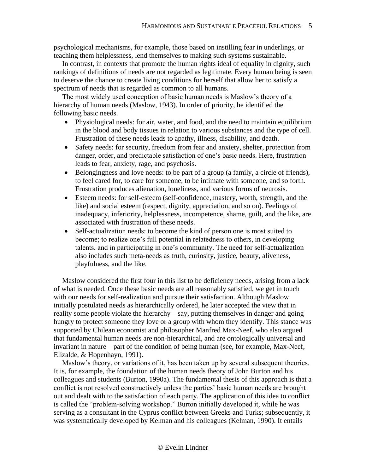psychological mechanisms, for example, those based on instilling fear in underlings, or teaching them helplessness, lend themselves to making such systems sustainable.

In contrast, in contexts that promote the human rights ideal of equality in dignity, such rankings of definitions of needs are not regarded as legitimate. Every human being is seen to deserve the chance to create living conditions for herself that allow her to satisfy a spectrum of needs that is regarded as common to all humans.

The most widely used conception of basic human needs is Maslow's theory of a hierarchy of human needs (Maslow, 1943). In order of priority, he identified the following basic needs.

- Physiological needs: for air, water, and food, and the need to maintain equilibrium in the blood and body tissues in relation to various substances and the type of cell. Frustration of these needs leads to apathy, illness, disability, and death.
- Safety needs: for security, freedom from fear and anxiety, shelter, protection from danger, order, and predictable satisfaction of one's basic needs. Here, frustration leads to fear, anxiety, rage, and psychosis.
- Belongingness and love needs: to be part of a group (a family, a circle of friends), to feel cared for, to care for someone, to be intimate with someone, and so forth. Frustration produces alienation, loneliness, and various forms of neurosis.
- Esteem needs: for self-esteem (self-confidence, mastery, worth, strength, and the like) and social esteem (respect, dignity, appreciation, and so on). Feelings of inadequacy, inferiority, helplessness, incompetence, shame, guilt, and the like, are associated with frustration of these needs.
- Self-actualization needs: to become the kind of person one is most suited to become; to realize one's full potential in relatedness to others, in developing talents, and in participating in one's community. The need for self-actualization also includes such meta-needs as truth, curiosity, justice, beauty, aliveness, playfulness, and the like.

Maslow considered the first four in this list to be deficiency needs, arising from a lack of what is needed. Once these basic needs are all reasonably satisfied, we get in touch with our needs for self-realization and pursue their satisfaction. Although Maslow initially postulated needs as hierarchically ordered, he later accepted the view that in reality some people violate the hierarchy—say, putting themselves in danger and going hungry to protect someone they love or a group with whom they identify. This stance was supported by Chilean economist and philosopher Manfred Max-Neef, who also argued that fundamental human needs are non-hierarchical, and are ontologically universal and invariant in nature—part of the condition of being human (see, for example, Max-Neef, Elizalde, & Hopenhayn, 1991).

Maslow's theory, or variations of it, has been taken up by several subsequent theories. It is, for example, the foundation of the human needs theory of John Burton and his colleagues and students (Burton, 1990a). The fundamental thesis of this approach is that a conflict is not resolved constructively unless the parties' basic human needs are brought out and dealt with to the satisfaction of each party. The application of this idea to conflict is called the "problem-solving workshop." Burton initially developed it, while he was serving as a consultant in the Cyprus conflict between Greeks and Turks; subsequently, it was systematically developed by Kelman and his colleagues (Kelman, 1990). It entails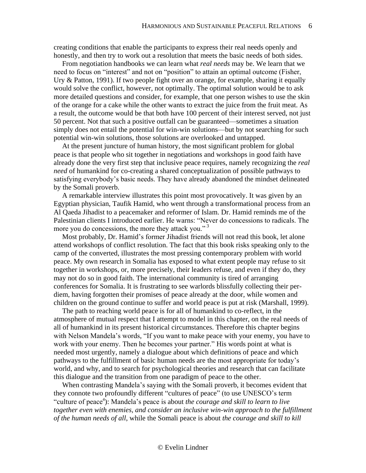creating conditions that enable the participants to express their real needs openly and honestly, and then try to work out a resolution that meets the basic needs of both sides.

From negotiation handbooks we can learn what *real needs* may be. We learn that we need to focus on "interest" and not on "position" to attain an optimal outcome (Fisher, Ury & Patton, 1991). If two people fight over an orange, for example, sharing it equally would solve the conflict, however, not optimally. The optimal solution would be to ask more detailed questions and consider, for example, that one person wishes to use the skin of the orange for a cake while the other wants to extract the juice from the fruit meat. As a result, the outcome would be that both have 100 percent of their interest served, not just 50 percent. Not that such a positive outfall can be guaranteed—sometimes a situation simply does not entail the potential for win-win solutions—but by not searching for such potential win-win solutions, those solutions are overlooked and untapped.

At the present juncture of human history, the most significant problem for global peace is that people who sit together in negotiations and workshops in good faith have already done the very first step that inclusive peace requires, namely recognizing the *real need* of humankind for co-creating a shared conceptualization of possible pathways to satisfying everybody's basic needs. They have already abandoned the mindset delineated by the Somali proverb.

A remarkable interview illustrates this point most provocatively. It was given by an Egyptian physician, Taufik Hamid, who went through a transformational process from an Al Qaeda Jihadist to a peacemaker and reformer of Islam. Dr. Hamid reminds me of the Palestinian clients I introduced earlier. He warns: "Never do concessions to radicals. The more you do concessions, the more they attack you."<sup>3</sup>

Most probably, Dr. Hamid's former Jihadist friends will not read this book, let alone attend workshops of conflict resolution. The fact that this book risks speaking only to the camp of the converted, illustrates the most pressing contemporary problem with world peace. My own research in Somalia has exposed to what extent people may refuse to sit together in workshops, or, more precisely, their leaders refuse, and even if they do, they may not do so in good faith. The international community is tired of arranging conferences for Somalia. It is frustrating to see warlords blissfully collecting their perdiem, having forgotten their promises of peace already at the door, while women and children on the ground continue to suffer and world peace is put at risk (Marshall, 1999).

The path to reaching world peace is for all of humankind to co-reflect, in the atmosphere of mutual respect that I attempt to model in this chapter, on the real needs of all of humankind in its present historical circumstances. Therefore this chapter begins with Nelson Mandela's words, "If you want to make peace with your enemy, you have to work with your enemy. Then he becomes your partner." His words point at what is needed most urgently, namely a dialogue about which definitions of peace and which pathways to the fulfillment of basic human needs are the most appropriate for today's world, and why, and to search for psychological theories and research that can facilitate this dialogue and the transition from one paradigm of peace to the other.

When contrasting Mandela's saying with the Somali proverb, it becomes evident that they connote two profoundly different "cultures of peace" (to use UNESCO's term "culture of peace<sup>4</sup>): Mandela's peace is about *the courage and skill to learn to live together even with enemies, and consider an inclusive win-win approach to the fulfillment of the human needs of all*, while the Somali peace is about *the courage and skill to kill*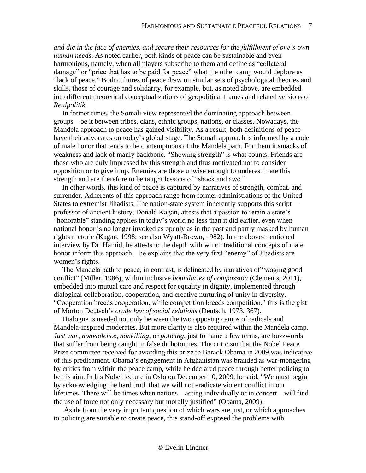*and die in the face of enemies, and secure their resources for the fulfillment of one's own human needs*. As noted earlier, both kinds of peace can be sustainable and even harmonious, namely, when all players subscribe to them and define as "collateral damage" or "price that has to be paid for peace" what the other camp would deplore as "lack of peace." Both cultures of peace draw on similar sets of psychological theories and skills, those of courage and solidarity, for example, but, as noted above, are embedded into different theoretical conceptualizations of geopolitical frames and related versions of *Realpolitik*.

In former times, the Somali view represented the dominating approach between groups—be it between tribes, clans, ethnic groups, nations, or classes. Nowadays, the Mandela approach to peace has gained visibility. As a result, both definitions of peace have their advocates on today's global stage. The Somali approach is informed by a code of male honor that tends to be contemptuous of the Mandela path. For them it smacks of weakness and lack of manly backbone. "Showing strength" is what counts. Friends are those who are duly impressed by this strength and thus motivated not to consider opposition or to give it up. Enemies are those unwise enough to underestimate this strength and are therefore to be taught lessons of "shock and awe."

In other words, this kind of peace is captured by narratives of strength, combat, and surrender. Adherents of this approach range from former administrations of the United States to extremist Jihadists. The nation-state system inherently supports this script professor of ancient history, Donald Kagan, attests that a passion to retain a state's "honorable" standing applies in today's world no less than it did earlier, even when national honor is no longer invoked as openly as in the past and partly masked by human rights rhetoric (Kagan, 1998; see also Wyatt-Brown, 1982). In the above-mentioned interview by Dr. Hamid, he attests to the depth with which traditional concepts of male honor inform this approach—he explains that the very first "enemy" of Jihadists are women's rights.

The Mandela path to peace, in contrast, is delineated by narratives of "waging good conflict" (Miller, 1986), within inclusive *boundaries of compassion* (Clements, 2011), embedded into mutual care and respect for equality in dignity, implemented through dialogical collaboration, cooperation, and creative nurturing of unity in diversity. "Cooperation breeds cooperation, while competition breeds competition," this is the gist of Morton Deutsch's *crude law of social relations* (Deutsch, 1973, 367).

Dialogue is needed not only between the two opposing camps of radicals and Mandela-inspired moderates. But more clarity is also required within the Mandela camp. *Just war*, *nonviolence*, *nonkilling*, or *policing*, just to name a few terms, are buzzwords that suffer from being caught in false dichotomies. The criticism that the Nobel Peace Prize committee received for awarding this prize to Barack Obama in 2009 was indicative of this predicament. Obama's engagement in Afghanistan was branded as war-mongering by critics from within the peace camp, while he declared peace through better policing to be his aim. In his Nobel lecture in Oslo on December 10, 2009, he said, "We must begin by acknowledging the hard truth that we will not eradicate violent conflict in our lifetimes. There will be times when nations—acting individually or in concert—will find the use of force not only necessary but morally justified" (Obama, 2009).

Aside from the very important question of which wars are just, or which approaches to policing are suitable to create peace, this stand-off exposed the problems with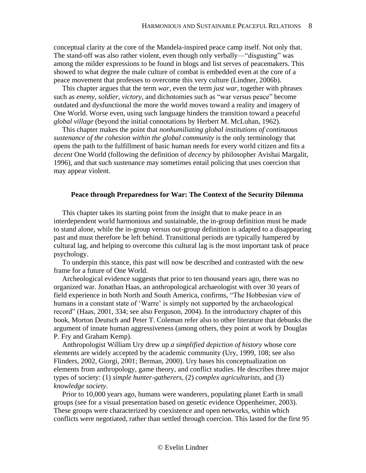conceptual clarity at the core of the Mandela-inspired peace camp itself. Not only that. The stand-off was also rather violent, even though only verbally—"disgusting" was among the milder expressions to be found in blogs and list serves of peacemakers. This showed to what degree the male culture of combat is embedded even at the core of a peace movement that professes to overcome this very culture (Lindner, 2006b).

This chapter argues that the term *war*, even the term *just war*, together with phrases such as *enemy, soldier*, *victory*, and dichotomies such as "war versus peace" become outdated and dysfunctional the more the world moves toward a reality and imagery of One World. Worse even, using such language hinders the transition toward a peaceful *global village* (beyond the initial connotations by Herbert M. McLuhan, 1962).

This chapter makes the point that *nonhumiliating global institutions of continuous sustenance of the cohesion within the global community* is the only terminology that opens the path to the fulfillment of basic human needs for every world citizen and fits a *decent* One World (following the definition of *decency* by philosopher Avishai Margalit, 1996), and that such sustenance may sometimes entail policing that uses coercion that may appear violent.

#### <span id="page-7-0"></span>**Peace through Preparedness for War: The Context of the Security Dilemma**

This chapter takes its starting point from the insight that to make peace in an interdependent world harmonious and sustainable, the in-group definition must be made to stand alone, while the in-group versus out-group definition is adapted to a disappearing past and must therefore be left behind. Transitional periods are typically hampered by cultural lag, and helping to overcome this cultural lag is the most important task of peace psychology.

To underpin this stance, this past will now be described and contrasted with the new frame for a future of One World.

Archeological evidence suggests that prior to ten thousand years ago, there was no organized war. Jonathan Haas, an anthropological archaeologist with over 30 years of field experience in both North and South America, confirms, "The Hobbesian view of humans in a constant state of 'Warre' is simply not supported by the archaeological record" (Haas, 2001, 334; see also Ferguson, 2004). In the introductory chapter of this book, Morton Deutsch and Peter T. Coleman refer also to other literature that debunks the argument of innate human aggressiveness (among others, they point at work by Douglas P. Fry and Graham Kemp).

Anthropologist William Ury drew up *a simplified depiction of history* whose core elements are widely accepted by the academic community (Ury, 1999, 108; see also Flinders, 2002, Giorgi, 2001; Berman, 2000). Ury bases his conceptualization on elements from anthropology, game theory, and conflict studies. He describes three major types of society: (1) *simple hunter-gatherers*, (2) *complex agriculturists*, and (3) *knowledge society*.

Prior to 10,000 years ago, humans were wanderers, populating planet Earth in small groups (see for a visual presentation based on genetic evidence Oppenheimer, 2003). These groups were characterized by coexistence and open networks, within which conflicts were negotiated, rather than settled through coercion. This lasted for the first 95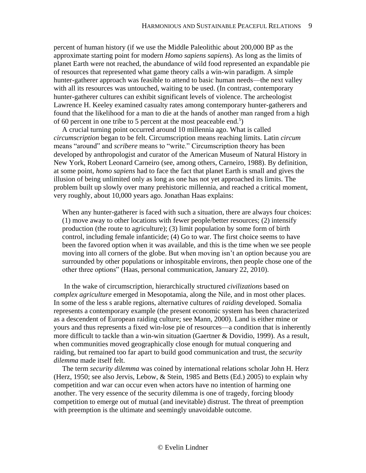percent of human history (if we use the Middle Paleolithic about 200,000 BP as the approximate starting point for modern *Homo sapiens sapiens*). As long as the limits of planet Earth were not reached, the abundance of wild food represented an expandable pie of resources that represented what game theory calls a win-win paradigm. A simple hunter-gatherer approach was feasible to attend to basic human needs—the next valley with all its resources was untouched, waiting to be used. (In contrast, contemporary hunter-gatherer cultures can exhibit significant levels of violence. The archeologist Lawrence H. Keeley examined casualty rates among contemporary hunter-gatherers and found that the likelihood for a man to die at the hands of another man ranged from a high of 60 percent in one tribe to 5 percent at the most peaceable end.<sup>5</sup>)

A crucial turning point occurred around 10 millennia ago. What is called *circumscription* began to be felt. Circumscription means reaching limits. Latin *circum* means "around" and *scribere* means to "write." Circumscription theory has been developed by anthropologist and curator of the American Museum of Natural History in New York, Robert Leonard Carneiro (see, among others, Carneiro, 1988). By definition, at some point, *homo sapiens* had to face the fact that planet Earth is small and gives the illusion of being unlimited only as long as one has not yet approached its limits. The problem built up slowly over many prehistoric millennia, and reached a critical moment, very roughly, about 10,000 years ago. Jonathan Haas explains:

When any hunter-gatherer is faced with such a situation, there are always four choices: (1) move away to other locations with fewer people/better resources; (2) intensify production (the route to agriculture); (3) limit population by some form of birth control, including female infanticide; (4) Go to war. The first choice seems to have been the favored option when it was available, and this is the time when we see people moving into all corners of the globe. But when moving isn't an option because you are surrounded by other populations or inhospitable environs, then people chose one of the other three options" (Haas, personal communication, January 22, 2010).

In the wake of circumscription, hierarchically structured *civilizations* based on *complex agriculture* emerged in Mesopotamia, along the Nile, and in most other places. In some of the less s arable regions, alternative cultures of *raiding* developed. Somalia represents a contemporary example (the present economic system has been characterized as a descendent of European raiding culture; see Mann, 2000). Land is either mine or yours and thus represents a fixed win-lose pie of resources—a condition that is inherently more difficult to tackle than a win-win situation (Gaertner & Dovidio, 1999). As a result, when communities moved geographically close enough for mutual conquering and raiding, but remained too far apart to build good communication and trust, the *security dilemma* made itself felt.

The term *security dilemma* was coined by international relations scholar John H. Herz (Herz, 1950; see also Jervis, Lebow, & Stein, 1985 and Betts (Ed.) 2005) to explain why competition and war can occur even when actors have no intention of harming one another. The very essence of the security dilemma is one of tragedy, forcing bloody competition to emerge out of mutual (and inevitable) distrust. The threat of preemption with preemption is the ultimate and seemingly unavoidable outcome.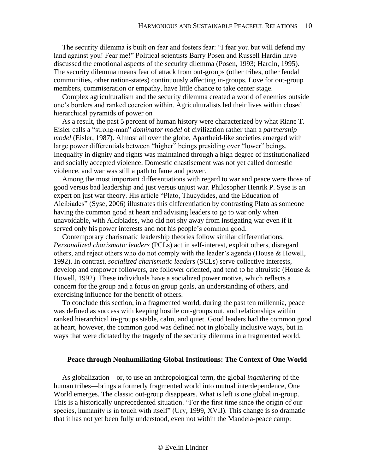The security dilemma is built on fear and fosters fear: "I fear you but will defend my land against you! Fear me!" Political scientists Barry Posen and Russell Hardin have discussed the emotional aspects of the security dilemma (Posen, 1993; Hardin, 1995). The security dilemma means fear of attack from out-groups (other tribes, other feudal communities, other nation-states) continuously affecting in-groups. Love for out-group members, commiseration or empathy, have little chance to take center stage.

Complex agriculturalism and the security dilemma created a world of enemies outside one's borders and ranked coercion within. Agriculturalists led their lives within closed hierarchical pyramids of power on

As a result, the past 5 percent of human history were characterized by what Riane T. Eisler calls a "strong-man" *dominator model* of civilization rather than a *partnership model* (Eisler, 1987). Almost all over the globe, Apartheid-like societies emerged with large power differentials between "higher" beings presiding over "lower" beings. Inequality in dignity and rights was maintained through a high degree of institutionalized and socially accepted violence. Domestic chastisement was not yet called domestic violence, and war was still a path to fame and power.

Among the most important differentiations with regard to war and peace were those of good versus bad leadership and just versus unjust war. Philosopher Henrik P. Syse is an expert on just war theory. His article "Plato, Thucydides, and the Education of Alcibiades" (Syse, 2006) illustrates this differentiation by contrasting Plato as someone having the common good at heart and advising leaders to go to war only when unavoidable, with Alcibiades, who did not shy away from instigating war even if it served only his power interests and not his people's common good.

Contemporary charismatic leadership theories follow similar differentiations. *Personalized charismatic leaders* (PCLs) act in self-interest, exploit others, disregard others, and reject others who do not comply with the leader's agenda (House & Howell, 1992). In contrast, *socialized charismatic leaders* (SCLs) serve collective interests, develop and empower followers, are follower oriented, and tend to be altruistic (House & Howell, 1992). These individuals have a socialized power motive, which reflects a concern for the group and a focus on group goals, an understanding of others, and exercising influence for the benefit of others.

To conclude this section, in a fragmented world, during the past ten millennia, peace was defined as success with keeping hostile out-groups out, and relationships within ranked hierarchical in-groups stable, calm, and quiet. Good leaders had the common good at heart, however, the common good was defined not in globally inclusive ways, but in ways that were dictated by the tragedy of the security dilemma in a fragmented world.

# <span id="page-9-0"></span>**Peace through Nonhumiliating Global Institutions: The Context of One World**

As globalization—or, to use an anthropological term, the global *ingathering* of the human tribes—brings a formerly fragmented world into mutual interdependence, One World emerges. The classic out-group disappears. What is left is one global in-group. This is a historically unprecedented situation. "For the first time since the origin of our species, humanity is in touch with itself" (Ury, 1999, XVII). This change is so dramatic that it has not yet been fully understood, even not within the Mandela-peace camp: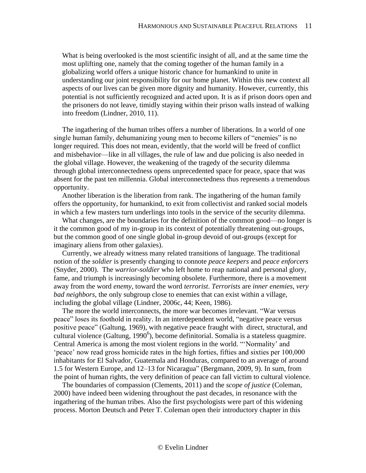What is being overlooked is the most scientific insight of all, and at the same time the most uplifting one, namely that the coming together of the human family in a globalizing world offers a unique historic chance for humankind to unite in understanding our joint responsibility for our home planet. Within this new context all aspects of our lives can be given more dignity and humanity. However, currently, this potential is not sufficiently recognized and acted upon. It is as if prison doors open and the prisoners do not leave, timidly staying within their prison walls instead of walking into freedom (Lindner, 2010, 11).

The ingathering of the human tribes offers a number of liberations. In a world of one single human family, dehumanizing young men to become killers of "enemies" is no longer required. This does not mean, evidently, that the world will be freed of conflict and misbehavior—like in all villages, the rule of law and due policing is also needed in the global village. However, the weakening of the tragedy of the security dilemma through global interconnectedness opens unprecedented space for peace, space that was absent for the past ten millennia. Global interconnectedness thus represents a tremendous opportunity.

Another liberation is the liberation from rank. The ingathering of the human family offers the opportunity, for humankind, to exit from collectivist and ranked social models in which a few masters turn underlings into tools in the service of the security dilemma.

What changes, are the boundaries for the definition of the common good—no longer is it the common good of my in-group in its context of potentially threatening out-groups, but the common good of one single global in-group devoid of out-groups (except for imaginary aliens from other galaxies).

Currently, we already witness many related transitions of language. The traditional notion of the *soldier* is presently changing to connote *peace keepers* and *peace enforcers* (Snyder, 2000). The *warrior-soldier* who left home to reap national and personal glory, fame, and triumph is increasingly becoming obsolete. Furthermore, there is a movement away from the word *enemy*, toward the word *terrorist*. *Terrorists* are *inner enemies*, *very bad neighbors*, the only subgroup close to enemies that can exist within a village, including the global village (Lindner, 2006c, 44; Keen, 1986).

The more the world interconnects, the more war becomes irrelevant. "War versus peace" loses its foothold in reality. In an interdependent world, "negative peace versus positive peace" (Galtung, 1969), with negative peace fraught with direct, structural, and cultural violence (Galtung, 1990<sup>6</sup>), become definitorial. Somalia is a stateless quagmire. Central America is among the most violent regions in the world. "'Normality' and 'peace' now read gross homicide rates in the high forties, fifties and sixties per 100,000 inhabitants for El Salvador, Guatemala and Honduras, compared to an average of around 1.5 for Western Europe, and 12–13 for Nicaragua" (Bergmann, 2009, 9). In sum, from the point of human rights, the very definition of peace can fall victim to cultural violence.

The boundaries of compassion (Clements, 2011) and the *scope of justice* (Coleman, 2000) have indeed been widening throughout the past decades, in resonance with the ingathering of the human tribes. Also the first psychologists were part of this widening process. Morton Deutsch and Peter T. Coleman open their introductory chapter in this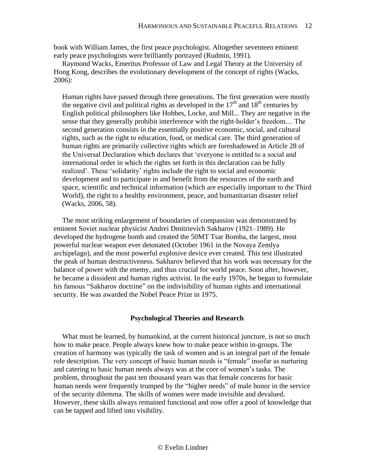book with William James, the first peace psychologist. Altogether seventeen eminent early peace psychologists were brilliantly portrayed (Rudmin, 1991).

Raymond Wacks, Emeritus Professor of Law and Legal Theory at the University of Hong Kong, describes the evolutionary development of the concept of rights (Wacks, 2006):

Human rights have passed through three generations. The first generation were mostly the negative civil and political rights as developed in the  $17<sup>th</sup>$  and  $18<sup>th</sup>$  centuries by English political philosophers like Hobbes, Locke, and Mill... They are negative in the sense that they generally prohibit interference with the right-holder's freedom.... The second generation consists in the essentially positive economic, social, and cultural rights, such as the right to education, food, or medical care. The third generation of human rights are primarily collective rights which are foreshadowed in Article 28 of the Universal Declaration which declares that 'everyone is entitled to a social and international order in which the rights set forth in this declaration can be fully realized'. These 'solidarity' rights include the right to social and economic development and to participate in and benefit from the resources of the earth and space, scientific and technical information (which are especially important to the Third World), the right to a healthy environment, peace, and humanitarian disaster relief (Wacks, 2006, 58).

The most striking enlargement of boundaries of compassion was demonstrated by eminent Soviet nuclear physicist Andrei Dmitrievich Sakharov (1921–1989). He developed the hydrogene bomb and created the 50MT Tsar Bomba, the largest, most powerful nuclear weapon ever detonated (October 1961 in the Novaya Zemlya archipelago), and the most powerful explosive device ever created. This test illustrated the peak of human destructiveness. Sakharov believed that his work was necessary for the balance of power with the enemy, and thus crucial for world peace. Soon after, however, he became a dissident and human rights activist. In the early 1970s, he began to formulate his famous "Sakharov doctrine" on the indivisibility of human rights and international security. He was awarded the Nobel Peace Prize in 1975.

## **Psychological Theories and Research**

<span id="page-11-0"></span>What must be learned, by humankind, at the current historical juncture, is not so much how to make peace. People always knew how to make peace within in-groups. The creation of harmony was typically the task of women and is an integral part of the female role description. The very concept of basic human needs is "female" insofar as nurturing and catering to basic human needs always was at the core of women's tasks. The problem, throughout the past ten thousand years was that female concerns for basic human needs were frequently trumped by the "higher needs" of male honor in the service of the security dilemma. The skills of women were made invisible and devalued. However, these skills always remained functional and now offer a pool of knowledge that can be tapped and lifted into visibility.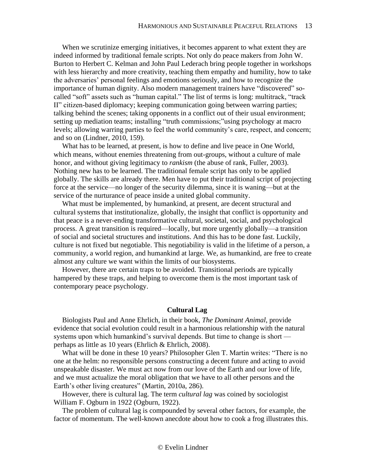When we scrutinize emerging initiatives, it becomes apparent to what extent they are indeed informed by traditional female scripts. Not only do peace makers from John W. Burton to Herbert C. Kelman and John Paul Lederach bring people together in workshops with less hierarchy and more creativity, teaching them empathy and humility, how to take the adversaries' personal feelings and emotions seriously, and how to recognize the importance of human dignity. Also modern management trainers have "discovered" socalled "soft" assets such as "human capital." The list of terms is long: multitrack, "track II" citizen-based diplomacy; keeping communication going between warring parties; talking behind the scenes; taking opponents in a conflict out of their usual environment; setting up mediation teams; installing "truth commissions;"using psychology at macro levels; allowing warring parties to feel the world community's care, respect, and concern; and so on (Lindner, 2010, 159).

What has to be learned, at present, is how to define and live peace in One World, which means, without enemies threatening from out-groups, without a culture of male honor, and without giving legitimacy to *rankism* (the abuse of rank, Fuller, 2003). Nothing new has to be learned. The traditional female script has only to be applied globally. The skills are already there. Men have to put their traditional script of projecting force at the service—no longer of the security dilemma, since it is waning—but at the service of the nurturance of peace inside a united global community.

What must be implemented, by humankind, at present, are decent structural and cultural systems that institutionalize, globally, the insight that conflict is opportunity and that peace is a never-ending transformative cultural, societal, social, and psychological process. A great transition is required—locally, but more urgently globally—a transition of social and societal structures and institutions. And this has to be done fast. Luckily, culture is not fixed but negotiable. This negotiability is valid in the lifetime of a person, a community, a world region, and humankind at large. We, as humankind, are free to create almost any culture we want within the limits of our biosystems.

However, there are certain traps to be avoided. Transitional periods are typically hampered by these traps, and helping to overcome them is the most important task of contemporary peace psychology.

# **Cultural Lag**

<span id="page-12-0"></span>Biologists Paul and Anne Ehrlich, in their book, *The Dominant Animal*, provide evidence that social evolution could result in a harmonious relationship with the natural systems upon which humankind's survival depends. But time to change is short perhaps as little as 10 years (Ehrlich & Ehrlich, 2008).

What will be done in these 10 years? Philosopher Glen T. Martin writes: "There is no one at the helm: no responsible persons constructing a decent future and acting to avoid unspeakable disaster. We must act now from our love of the Earth and our love of life, and we must actualize the moral obligation that we have to all other persons and the Earth's other living creatures" (Martin, 2010a, 286).

However, there is cultural lag. The term *cultural lag* was coined by sociologist William F. Ogburn in 1922 (Ogburn, 1922).

The problem of cultural lag is compounded by several other factors, for example, the factor of momentum. The well-known anecdote about how to cook a frog illustrates this.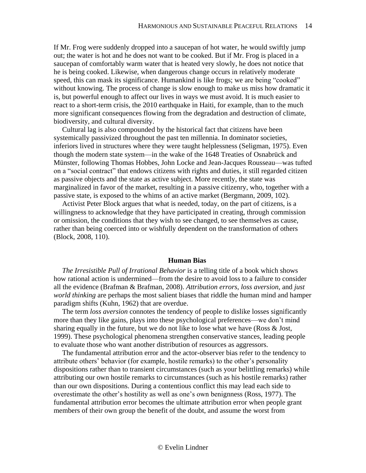If Mr. Frog were suddenly dropped into a saucepan of hot water, he would swiftly jump out; the water is hot and he does not want to be cooked. But if Mr. Frog is placed in a saucepan of comfortably warm water that is heated very slowly, he does not notice that he is being cooked. Likewise, when dangerous change occurs in relatively moderate speed, this can mask its significance. Humankind is like frogs; we are being "cooked" without knowing. The process of change is slow enough to make us miss how dramatic it is, but powerful enough to affect our lives in ways we must avoid. It is much easier to react to a short-term crisis, the 2010 earthquake in Haiti, for example, than to the much more significant consequences flowing from the degradation and destruction of climate, biodiversity, and cultural diversity.

Cultural lag is also compounded by the historical fact that citizens have been systemically passivized throughout the past ten millennia. In dominator societies, inferiors lived in structures where they were taught helplessness (Seligman, 1975). Even though the modern state system—in the wake of the 1648 Treaties of Osnabrück and Münster, following Thomas Hobbes, John Locke and Jean-Jacques Rousseau—was tufted on a "social contract" that endows citizens with rights and duties, it still regarded citizen as passive objects and the state as active subject. More recently, the state was marginalized in favor of the market, resulting in a passive citizenry, who, together with a passive state, is exposed to the whims of an active market (Bergmann, 2009, 102).

Activist Peter Block argues that what is needed, today, on the part of citizens, is a willingness to acknowledge that they have participated in creating, through commission or omission, the conditions that they wish to see changed, to see themselves as cause, rather than being coerced into or wishfully dependent on the transformation of others (Block, 2008, 110).

#### **Human Bias**

<span id="page-13-0"></span>*The Irresistible Pull of Irrational Behavior* is a telling title of a book which shows how rational action is undermined—from the desire to avoid loss to a failure to consider all the evidence (Brafman & Brafman, 2008). *Attribution errors*, *loss aversion*, and *just world thinking* are perhaps the most salient biases that riddle the human mind and hamper paradigm shifts (Kuhn, 1962) that are overdue.

The term *loss aversion* connotes the tendency of people to dislike losses significantly more than they like gains, plays into these psychological preferences—we don't mind sharing equally in the future, but we do not like to lose what we have (Ross  $\&$  Jost, 1999). These psychological phenomena strengthen conservative stances, leading people to evaluate those who want another distribution of resources as aggressors.

The fundamental attribution error and the actor-observer bias refer to the tendency to attribute others' behavior (for example, hostile remarks) to the other's personality dispositions rather than to transient circumstances (such as your belittling remarks) while attributing our own hostile remarks to circumstances (such as his hostile remarks) rather than our own dispositions. During a contentious conflict this may lead each side to overestimate the other's hostility as well as one's own benignness (Ross, 1977). The fundamental attribution error becomes the ultimate attribution error when people grant members of their own group the benefit of the doubt, and assume the worst from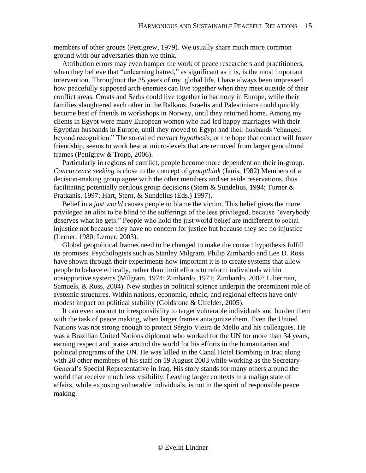members of other groups (Pettigrew, 1979). We usually share much more common ground with our adversaries than we think.

Attribution errors may even hamper the work of peace researchers and practitioners, when they believe that "unlearning hatred," as significant as it is, is the most important intervention. Throughout the 35 years of my global life, I have always been impressed how peacefully supposed arch-enemies can live together when they meet outside of their conflict areas. Croats and Serbs could live together in harmony in Europe, while their families slaughtered each other in the Balkans. Israelis and Palestinians could quickly become best of friends in workshops in Norway, until they returned home. Among my clients in Egypt were many European women who had led happy marriages with their Egyptian husbands in Europe, until they moved to Egypt and their husbands "changed beyond recognition." The so-called *contact hypothesis*, or the hope that contact will foster friendship, seems to work best at micro-levels that are removed from larger geocultural frames (Pettigrew & Tropp, 2006).

Particularly in regions of conflict, people become more dependent on their in-group. *Concurrence seeking* is close to the concept of *groupthink* (Janis, 1982) Members of a decision-making group agree with the other members and set aside reservations, thus facilitating potentially perilous group decisions (Stern & Sundelius, 1994; Turner & Pratkanis, 1997; Hart, Stern, & Sundelius (Eds.) 1997).

Belief in a *just world* causes people to blame the victim. This belief gives the more privileged an alibi to be blind to the sufferings of the less privileged, because "everybody deserves what he gets." People who hold the just world belief are indifferent to social injustice not because they have no concern for justice but because they see no injustice (Lerner, 1980; Lerner, 2003).

Global geopolitical frames need to be changed to make the contact hypothesis fulfill its promises. Psychologists such as Stanley Milgram, Philip Zimbardo and Lee D. Ross have shown through their experiments how important it is to create systems that allow people to behave ethically, rather than limit efforts to reform individuals within unsupportive systems (Milgram, 1974; Zimbardo, 1971; Zimbardo, 2007; Liberman, Samuels, & Ross, 2004). New studies in political science underpin the preeminent role of systemic structures. Within nations, economic, ethnic, and regional effects have only modest impact on political stability (Goldstone & Ulfelder, 2005).

It can even amount to irresponsibility to target vulnerable individuals and burden them with the task of peace making, when larger frames antagonize them. Even the United Nations was not strong enough to protect Sérgio Vieira de Mello and his colleagues. He was a Brazilian United Nations diplomat who worked for the UN for more than 34 years, earning respect and praise around the world for his efforts in the humanitarian and political programs of the UN. He was killed in the Canal Hotel Bombing in Iraq along with 20 other members of his staff on 19 August 2003 while working as the Secretary-General's Special Representative in Iraq. His story stands for many others around the world that receive much less visibility. Leaving larger contexts in a malign state of affairs, while exposing vulnerable individuals, is not in the spirit of responsible peace making.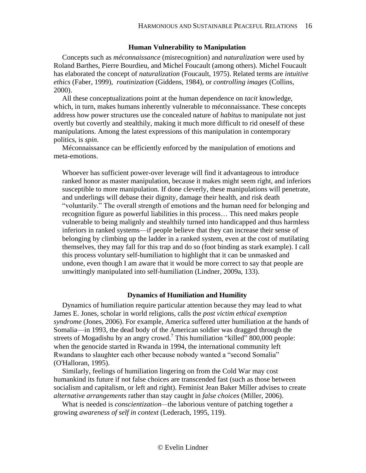## **Human Vulnerability to Manipulation**

<span id="page-15-0"></span>Concepts such as *méconnaissance* (misrecognition) and *naturalization* were used by Roland Barthes, Pierre Bourdieu, and Michel Foucault (among others). Michel Foucault has elaborated the concept of *naturalization* (Foucault, 1975). Related terms are *intuitive ethics* (Faber, 1999), *routinization* (Giddens, 1984), or *controlling images* (Collins, 2000).

All these conceptualizations point at the human dependence on *tacit* knowledge, which, in turn, makes humans inherently vulnerable to méconnaissance. These concepts address how power structures use the concealed nature of *habitus* to manipulate not just overtly but covertly and stealthily, making it much more difficult to rid oneself of these manipulations. Among the latest expressions of this manipulation in contemporary politics, is *spin*.

Méconnaissance can be efficiently enforced by the manipulation of emotions and meta-emotions.

Whoever has sufficient power-over leverage will find it advantageous to introduce ranked honor as master manipulation, because it makes might seem right, and inferiors susceptible to more manipulation. If done cleverly, these manipulations will penetrate, and underlings will debase their dignity, damage their health, and risk death "voluntarily." The overall strength of emotions and the human need for belonging and recognition figure as powerful liabilities in this process… This need makes people vulnerable to being malignly and stealthily turned into handicapped and thus harmless inferiors in ranked systems—if people believe that they can increase their sense of belonging by climbing up the ladder in a ranked system, even at the cost of mutilating themselves, they may fall for this trap and do so (foot binding as stark example). I call this process voluntary self-humiliation to highlight that it can be unmasked and undone, even though I am aware that it would be more correct to say that people are unwittingly manipulated into self-humiliation (Lindner, 2009a, 133).

## **Dynamics of Humiliation and Humility**

<span id="page-15-1"></span>Dynamics of humiliation require particular attention because they may lead to what James E. Jones, scholar in world religions, calls the *post victim ethical exemption syndrome* (Jones, 2006). For example, America suffered utter humiliation at the hands of Somalia—in 1993, the dead body of the American soldier was dragged through the streets of Mogadishu by an angry crowd.<sup>7</sup> This humiliation "killed" 800,000 people: when the genocide started in Rwanda in 1994, the international community left Rwandans to slaughter each other because nobody wanted a "second Somalia" (O'Halloran, 1995).

Similarly, feelings of humiliation lingering on from the Cold War may cost humankind its future if not false choices are transcended fast (such as those between socialism and capitalism, or left and right). Feminist Jean Baker Miller advises to create *alternative arrangements* rather than stay caught in *false choices* (Miller, 2006).

What is needed is *conscientization—*the laborious venture of patching together a growing *awareness of self in context* (Lederach, 1995, 119).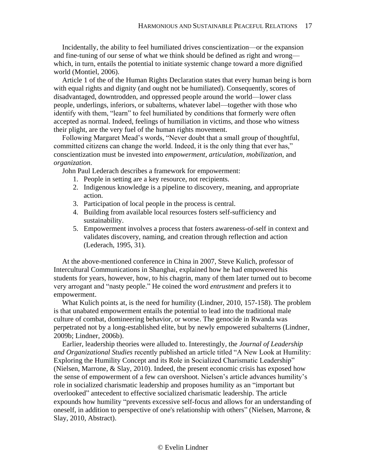Incidentally, the ability to feel humiliated drives conscientization—or the expansion and fine-tuning of our sense of what we think should be defined as right and wrong which, in turn, entails the potential to initiate systemic change toward a more dignified world (Montiel, 2006).

Article 1 of the of the Human Rights Declaration states that every human being is born with equal rights and dignity (and ought not be humiliated). Consequently, scores of disadvantaged, downtrodden, and oppressed people around the world—lower class people, underlings, inferiors, or subalterns, whatever label—together with those who identify with them, "learn" to feel humiliated by conditions that formerly were often accepted as normal. Indeed, feelings of humiliation in victims, and those who witness their plight, are the very fuel of the human rights movement.

Following Margaret Mead's words, "Never doubt that a small group of thoughtful, committed citizens can change the world. Indeed, it is the only thing that ever has," conscientization must be invested into *empowerment*, *articulation*, *mobilization*, and *organization*.

John Paul Lederach describes a framework for empowerment:

- 1. People in setting are a key resource, not recipients.
- 2. Indigenous knowledge is a pipeline to discovery, meaning, and appropriate action.
- 3. Participation of local people in the process is central.
- 4. Building from available local resources fosters self-sufficiency and sustainability.
- 5. Empowerment involves a process that fosters awareness-of-self in context and validates discovery, naming, and creation through reflection and action (Lederach, 1995, 31).

At the above-mentioned conference in China in 2007, Steve Kulich, professor of Intercultural Communications in Shanghai, explained how he had empowered his students for years, however, how, to his chagrin, many of them later turned out to become very arrogant and "nasty people." He coined the word *entrustment* and prefers it to empowerment.

What Kulich points at, is the need for humility (Lindner, 2010, 157-158). The problem is that unabated empowerment entails the potential to lead into the traditional male culture of combat, domineering behavior, or worse. The genocide in Rwanda was perpetrated not by a long-established elite, but by newly empowered subalterns (Lindner, 2009b; Lindner, 2006b).

Earlier, leadership theories were alluded to. Interestingly, the *Journal of Leadership and Organizational Studies* recently published an article titled "A New Look at Humility: Exploring the Humility Concept and its Role in Socialized Charismatic Leadership" (Nielsen, Marrone, & Slay, 2010). Indeed, the present economic crisis has exposed how the sense of empowerment of a few can overshoot. Nielsen's article advances humility's role in socialized charismatic leadership and proposes humility as an "important but overlooked" antecedent to effective socialized charismatic leadership. The article expounds how humility "prevents excessive self-focus and allows for an understanding of oneself, in addition to perspective of one's relationship with others" (Nielsen, Marrone, & Slay, 2010, Abstract).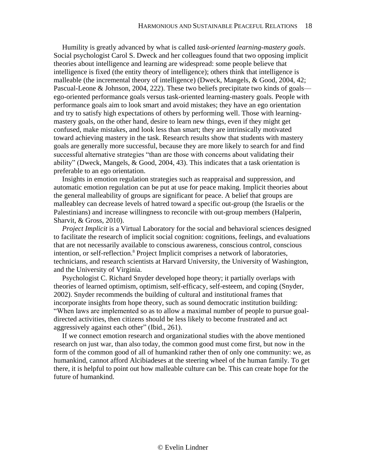Humility is greatly advanced by what is called *task-oriented learning-mastery goals*. Social psychologist Carol S. Dweck and her colleagues found that two opposing implicit theories about intelligence and learning are widespread: some people believe that intelligence is fixed (the entity theory of intelligence); others think that intelligence is malleable (the incremental theory of intelligence) (Dweck, Mangels, & Good, 2004, 42; Pascual-Leone & Johnson, 2004, 222). These two beliefs precipitate two kinds of goals ego-oriented performance goals versus task-oriented learning-mastery goals. People with performance goals aim to look smart and avoid mistakes; they have an ego orientation and try to satisfy high expectations of others by performing well. Those with learningmastery goals, on the other hand, desire to learn new things, even if they might get confused, make mistakes, and look less than smart; they are intrinsically motivated toward achieving mastery in the task. Research results show that students with mastery goals are generally more successful, because they are more likely to search for and find successful alternative strategies "than are those with concerns about validating their ability" (Dweck, Mangels, & Good, 2004, 43). This indicates that a task orientation is preferable to an ego orientation.

Insights in emotion regulation strategies such as reappraisal and suppression, and automatic emotion regulation can be put at use for peace making. Implicit theories about the general malleability of groups are significant for peace. A belief that groups are malleabley can decrease levels of hatred toward a specific out-group (the Israelis or the Palestinians) and increase willingness to reconcile with out-group members (Halperin, Sharvit, & Gross, 2010).

*Project Implicit* is a Virtual Laboratory for the social and behavioral sciences designed to facilitate the research of implicit social cognition: cognitions, feelings, and evaluations that are not necessarily available to conscious awareness, conscious control, conscious intention, or self-reflection.<sup>8</sup> Project Implicit comprises a network of laboratories, technicians, and research scientists at Harvard University, the University of Washington, and the University of Virginia.

Psychologist C. Richard Snyder developed hope theory; it partially overlaps with theories of learned optimism, optimism, self-efficacy, self-esteem, and coping (Snyder, 2002). Snyder recommends the building of cultural and institutional frames that incorporate insights from hope theory, such as sound democratic institution building: "When laws are implemented so as to allow a maximal number of people to pursue goaldirected activities, then citizens should be less likely to become frustrated and act aggressively against each other" (Ibid., 261).

If we connect emotion research and organizational studies with the above mentioned research on just war, than also today, the common good must come first, but now in the form of the common good of all of humankind rather then of only one community: we, as humankind, cannot afford Alcibiadeses at the steering wheel of the human family. To get there, it is helpful to point out how malleable culture can be. This can create hope for the future of humankind.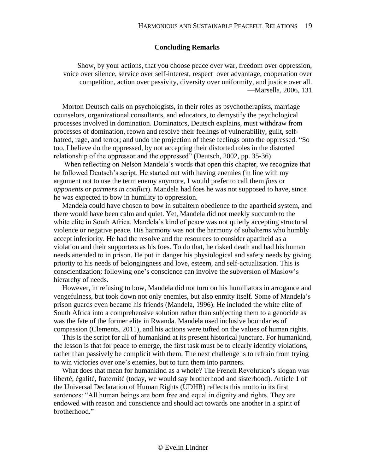# **Concluding Remarks**

<span id="page-18-0"></span>Show, by your actions, that you choose peace over war, freedom over oppression, voice over silence, service over self-interest, respect over advantage, cooperation over competition, action over passivity, diversity over uniformity, and justice over all. —Marsella, 2006, 131

Morton Deutsch calls on psychologists, in their roles as psychotherapists, marriage counselors, organizational consultants, and educators, to demystify the psychological processes involved in domination. Dominators, Deutsch explains, must withdraw from processes of domination, reown and resolve their feelings of vulnerability, guilt, selfhatred, rage, and terror; and undo the projection of these feelings onto the oppressed. "So too, I believe do the oppressed, by not accepting their distorted roles in the distorted relationship of the oppressor and the oppressed" (Deutsch, 2002, pp. 35-36).

When reflecting on Nelson Mandela's words that open this chapter, we recognize that he followed Deutsch's script. He started out with having enemies (in line with my argument not to use the term enemy anymore, I would prefer to call them *foes* or *opponents* or *partners in conflict*). Mandela had foes he was not supposed to have, since he was expected to bow in humility to oppression.

Mandela could have chosen to bow in subaltern obedience to the apartheid system, and there would have been calm and quiet. Yet, Mandela did not meekly succumb to the white elite in South Africa. Mandela's kind of peace was not quietly accepting structural violence or negative peace. His harmony was not the harmony of subalterns who humbly accept inferiority. He had the resolve and the resources to consider apartheid as a violation and their supporters as his foes. To do that, he risked death and had his human needs attended to in prison. He put in danger his physiological and safety needs by giving priority to his needs of belongingness and love, esteem, and self-actualization. This is conscientization: following one's conscience can involve the subversion of Maslow's hierarchy of needs.

However, in refusing to bow, Mandela did not turn on his humiliators in arrogance and vengefulness, but took down not only enemies, but also enmity itself. Some of Mandela's prison guards even became his friends (Mandela, 1996). He included the white elite of South Africa into a comprehensive solution rather than subjecting them to a genocide as was the fate of the former elite in Rwanda. Mandela used inclusive boundaries of compassion (Clements, 2011), and his actions were tufted on the values of human rights.

This is the script for all of humankind at its present historical juncture. For humankind, the lesson is that for peace to emerge, the first task must be to clearly identify violations, rather than passively be complicit with them. The next challenge is to refrain from trying to win victories over one's enemies, but to turn them into partners.

What does that mean for humankind as a whole? The French Revolution's slogan was liberté, égalité, fraternité (today, we would say brotherhood and sisterhood). Article 1 of the Universal Declaration of Human Rights (UDHR) reflects this motto in its first sentences: "All human beings are born free and equal in dignity and rights. They are endowed with reason and conscience and should act towards one another in a spirit of brotherhood."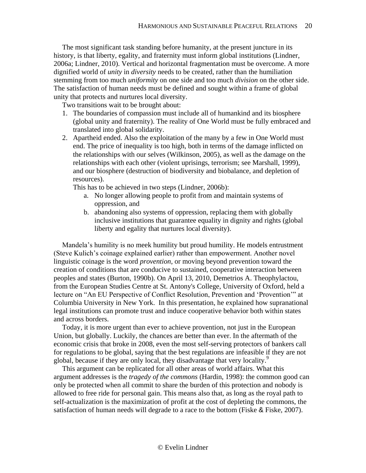The most significant task standing before humanity, at the present juncture in its history, is that liberty, egality, and fraternity must inform global institutions (Lindner, 2006a; Lindner, 2010). Vertical and horizontal fragmentation must be overcome. A more dignified world of *unity* in *diversity* needs to be created, rather than the humiliation stemming from too much *uniformity* on one side and too much *division* on the other side. The satisfaction of human needs must be defined and sought within a frame of global unity that protects and nurtures local diversity.

Two transitions wait to be brought about:

- 1. The boundaries of compassion must include all of humankind and its biosphere (global unity and fraternity). The reality of One World must be fully embraced and translated into global solidarity.
- 2. Apartheid ended. Also the exploitation of the many by a few in One World must end. The price of inequality is too high, both in terms of the damage inflicted on the relationships with our selves (Wilkinson, 2005), as well as the damage on the relationships with each other (violent uprisings, terrorism; see Marshall, 1999), and our biosphere (destruction of biodiversity and biobalance, and depletion of resources).

This has to be achieved in two steps (Lindner, 2006b):

- a. No longer allowing people to profit from and maintain systems of oppression, and
- b. abandoning also systems of oppression, replacing them with globally inclusive institutions that guarantee equality in dignity and rights (global liberty and egality that nurtures local diversity).

Mandela's humility is no meek humility but proud humility. He models entrustment (Steve Kulich's coinage explained earlier) rather than empowerment. Another novel linguistic coinage is the word *provention*, or moving beyond prevention toward the creation of conditions that are conducive to sustained, cooperative interaction between peoples and states (Burton, 1990b). On April 13, 2010, Demetrios A. Theophylactou, from the European Studies Centre at St. Antony's College, University of Oxford, held a lecture on "An EU Perspective of Conflict Resolution, Prevention and 'Provention'" at Columbia University in New York. In this presentation, he explained how supranational legal institutions can promote trust and induce cooperative behavior both within states and across borders.

Today, it is more urgent than ever to achieve provention, not just in the European Union, but globally. Luckily, the chances are better than ever. In the aftermath of the economic crisis that broke in 2008, even the most self-serving protectors of bankers call for regulations to be global, saying that the best regulations are infeasible if they are not global, because if they are only local, they disadvantage that very locality.<sup>9</sup>

This argument can be replicated for all other areas of world affairs. What this argument addresses is the *tragedy of the commons* (Hardin, 1998): the common good can only be protected when all commit to share the burden of this protection and nobody is allowed to free ride for personal gain. This means also that, as long as the royal path to self-actualization is the maximization of profit at the cost of depleting the commons, the satisfaction of human needs will degrade to a race to the bottom (Fiske & Fiske, 2007).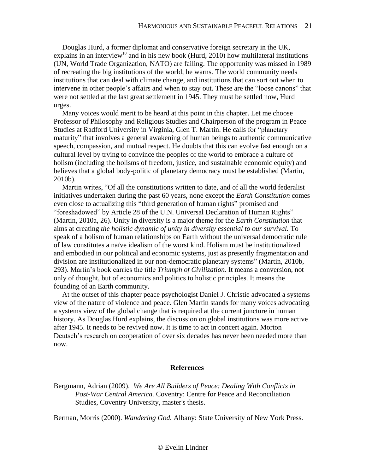Douglas Hurd, a former diplomat and conservative foreign secretary in the UK, explains in an interview<sup>10</sup> and in his new book (Hurd, 2010) how multilateral institutions (UN, World Trade Organization, NATO) are failing. The opportunity was missed in 1989 of recreating the big institutions of the world, he warns. The world community needs institutions that can deal with climate change, and institutions that can sort out when to intervene in other people's affairs and when to stay out. These are the "loose canons" that were not settled at the last great settlement in 1945. They must be settled now, Hurd urges.

Many voices would merit to be heard at this point in this chapter. Let me choose Professor of Philosophy and Religious Studies and Chairperson of the program in Peace Studies at Radford University in Virginia, Glen T. Martin. He calls for "planetary maturity" that involves a general awakening of human beings to authentic communicative speech, compassion, and mutual respect. He doubts that this can evolve fast enough on a cultural level by trying to convince the peoples of the world to embrace a culture of holism (including the holisms of freedom, justice, and sustainable economic equity) and believes that a global body-politic of planetary democracy must be established (Martin, 2010b).

Martin writes, "Of all the constitutions written to date, and of all the world federalist initiatives undertaken during the past 60 years, none except the *Earth Constitution* comes even close to actualizing this "third generation of human rights" promised and "foreshadowed" by Article 28 of the U.N. Universal Declaration of Human Rights" (Martin, 2010a, 26). Unity in diversity is a major theme for the *Earth Constitution* that aims at creating *the holistic dynamic of unity in diversity essential to our survival.* To speak of a holism of human relationships on Earth without the universal democratic rule of law constitutes a naïve idealism of the worst kind. Holism must be institutionalized and embodied in our political and economic systems, just as presently fragmentation and division are institutionalized in our non-democratic planetary systems" (Martin, 2010b, 293). Martin's book carries the title *Triumph of Civilization*. It means a conversion, not only of thought, but of economics and politics to holistic principles. It means the founding of an Earth community.

At the outset of this chapter peace psychologist Daniel J. Christie advocated a systems view of the nature of violence and peace. Glen Martin stands for many voices advocating a systems view of the global change that is required at the current juncture in human history. As Douglas Hurd explains, the discussion on global institutions was more active after 1945. It needs to be revived now. It is time to act in concert again. Morton Deutsch's research on cooperation of over six decades has never been needed more than now.

# **References**

<span id="page-20-0"></span>Bergmann, Adrian (2009). *We Are All Builders of Peace: Dealing With Conflicts in Post-War Central America.* Coventry: Centre for Peace and Reconciliation Studies, Coventry University, master's thesis.

Berman, Morris (2000). *Wandering God.* Albany: State University of New York Press.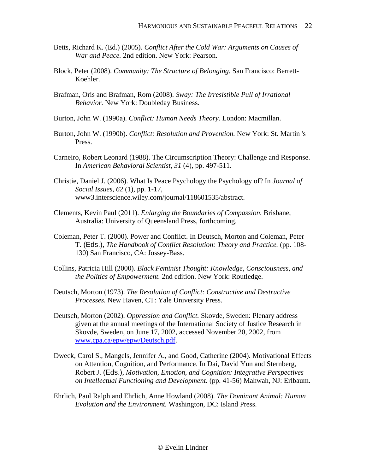- Betts, Richard K. (Ed.) (2005). *Conflict After the Cold War: Arguments on Causes of War and Peace.* 2nd edition. New York: Pearson.
- Block, Peter (2008). *Community: The Structure of Belonging.* San Francisco: Berrett-Koehler.
- Brafman, Oris and Brafman, Rom (2008). *Sway: The Irresistible Pull of Irrational Behavior.* New York: Doubleday Business.
- Burton, John W. (1990a). *Conflict: Human Needs Theory.* London: Macmillan.
- Burton, John W. (1990b). *Conflict: Resolution and Provention.* New York: St. Martin 's Press.
- Carneiro, Robert Leonard (1988). The Circumscription Theory: Challenge and Response. In *American Behavioral Scientist, 31* (4), pp. 497-511.
- Christie, Daniel J. (2006). What Is Peace Psychology the Psychology of? In *Journal of Social Issues, 62* (1), pp. 1-17, www3.interscience.wiley.com/journal/118601535/abstract.
- Clements, Kevin Paul (2011). *Enlarging the Boundaries of Compassion.* Brisbane, Australia: University of Queensland Press, forthcoming.
- Coleman, Peter T. (2000). Power and Conflict. In Deutsch, Morton and Coleman, Peter T. (Eds.), *The Handbook of Conflict Resolution: Theory and Practice.* (pp. 108- 130) San Francisco, CA: Jossey-Bass.
- Collins, Patricia Hill (2000). *Black Feminist Thought: Knowledge, Consciousness, and the Politics of Empowerment.* 2nd edition. New York: Routledge.
- Deutsch, Morton (1973). *The Resolution of Conflict: Constructive and Destructive Processes.* New Haven, CT: Yale University Press.
- Deutsch, Morton (2002). *Oppression and Conflict.* Skovde, Sweden: Plenary address given at the annual meetings of the International Society of Justice Research in Skovde, Sweden, on June 17, 2002, accessed November 20, 2002, from [www.cpa.ca/epw/epw/Deutsch.pdf.](http://www.cpa.ca/epw/epw/Deutsch.pdf)
- Dweck, Carol S., Mangels, Jennifer A., and Good, Catherine (2004). Motivational Effects on Attention, Cognition, and Performance. In Dai, David Yun and Sternberg, Robert J. (Eds.), *Motivation, Emotion, and Cognition: Integrative Perspectives on Intellectual Functioning and Development.* (pp. 41-56) Mahwah, NJ: Erlbaum.
- Ehrlich, Paul Ralph and Ehrlich, Anne Howland (2008). *The Dominant Animal: Human Evolution and the Environment.* Washington, DC: Island Press.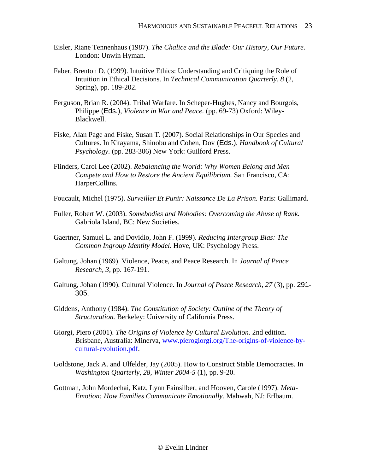- Eisler, Riane Tennenhaus (1987). *The Chalice and the Blade: Our History, Our Future.*  London: Unwin Hyman.
- Faber, Brenton D. (1999). Intuitive Ethics: Understanding and Critiquing the Role of Intuition in Ethical Decisions. In *Technical Communication Quarterly, 8* (2, Spring), pp. 189-202.
- Ferguson, Brian R. (2004). Tribal Warfare. In Scheper-Hughes, Nancy and Bourgois, Philippe (Eds.), *Violence in War and Peace.* (pp. 69-73) Oxford: Wiley-Blackwell.
- Fiske, Alan Page and Fiske, Susan T. (2007). Social Relationships in Our Species and Cultures. In Kitayama, Shinobu and Cohen, Dov (Eds.), *Handbook of Cultural Psychology.* (pp. 283-306) New York: Guilford Press.
- Flinders, Carol Lee (2002). *Rebalancing the World: Why Women Belong and Men Compete and How to Restore the Ancient Equilibrium.* San Francisco, CA: HarperCollins.
- Foucault, Michel (1975). *Surveiller Et Punir: Naissance De La Prison.* Paris: Gallimard.
- Fuller, Robert W. (2003). *Somebodies and Nobodies: Overcoming the Abuse of Rank.*  Gabriola Island, BC: New Societies.
- Gaertner, Samuel L. and Dovidio, John F. (1999). *Reducing Intergroup Bias: The Common Ingroup Identity Model.* Hove, UK: Psychology Press.
- Galtung, Johan (1969). Violence, Peace, and Peace Research. In *Journal of Peace Research, 3*, pp. 167-191.
- Galtung, Johan (1990). Cultural Violence. In *Journal of Peace Research, 27* (3), pp. 291- 305.
- Giddens, Anthony (1984). *The Constitution of Society: Outline of the Theory of Structuration.* Berkeley: University of California Press.
- Giorgi, Piero (2001). *The Origins of Violence by Cultural Evolution.* 2nd edition. Brisbane, Australia: Minerva, [www.pierogiorgi.org/The-origins-of-violence-by](http://www.pierogiorgi.org/The-origins-of-violence-by-cultural-evolution.pdf)[cultural-evolution.pdf.](http://www.pierogiorgi.org/The-origins-of-violence-by-cultural-evolution.pdf)
- Goldstone, Jack A. and Ulfelder, Jay (2005). How to Construct Stable Democracies. In *Washington Quarterly, 28, Winter 2004-5* (1), pp. 9-20.
- Gottman, John Mordechai, Katz, Lynn Fainsilber, and Hooven, Carole (1997). *Meta-Emotion: How Families Communicate Emotionally.* Mahwah, NJ: Erlbaum.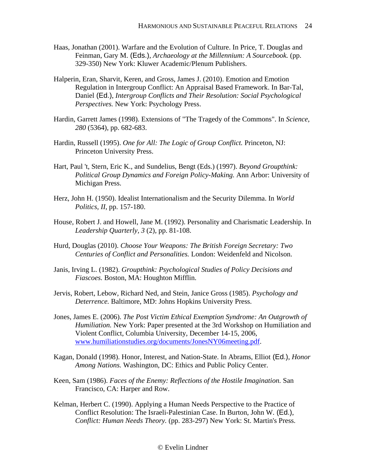- Haas, Jonathan (2001). Warfare and the Evolution of Culture. In Price, T. Douglas and Feinman, Gary M. (Eds.), *Archaeology at the Millennium: A Sourcebook.* (pp. 329-350) New York: Kluwer Academic/Plenum Publishers.
- Halperin, Eran, Sharvit, Keren, and Gross, James J. (2010). Emotion and Emotion Regulation in Intergroup Conflict: An Appraisal Based Framework. In Bar-Tal, Daniel (Ed.), *Intergroup Conflicts and Their Resolution: Social Psychological Perspectives.* New York: Psychology Press.
- Hardin, Garrett James (1998). Extensions of "The Tragedy of the Commons". In *Science, 280* (5364), pp. 682-683.
- Hardin, Russell (1995). *One for All: The Logic of Group Conflict.* Princeton, NJ: Princeton University Press.
- Hart, Paul 't, Stern, Eric K., and Sundelius, Bengt (Eds.) (1997). *Beyond Groupthink: Political Group Dynamics and Foreign Policy-Making.* Ann Arbor: University of Michigan Press.
- Herz, John H. (1950). Idealist Internationalism and the Security Dilemma. In *World Politics, II*, pp. 157-180.
- House, Robert J. and Howell, Jane M. (1992). Personality and Charismatic Leadership. In *Leadership Quarterly, 3* (2), pp. 81-108.
- Hurd, Douglas (2010). *Choose Your Weapons: The British Foreign Secretary: Two Centuries of Conflict and Personalities.* London: Weidenfeld and Nicolson.
- Janis, Irving L. (1982). *Groupthink: Psychological Studies of Policy Decisions and Fiascoes.* Boston, MA: Houghton Mifflin.
- Jervis, Robert, Lebow, Richard Ned, and Stein, Janice Gross (1985). *Psychology and Deterrence.* Baltimore, MD: Johns Hopkins University Press.
- Jones, James E. (2006). *The Post Victim Ethical Exemption Syndrome: An Outgrowth of Humiliation.* New York: Paper presented at the 3rd Workshop on Humiliation and Violent Conflict, Columbia University, December 14-15, 2006, [www.humiliationstudies.org/documents/JonesNY06meeting.pdf.](http://www.humiliationstudies.org/documents/JonesNY06meeting.pdf)
- Kagan, Donald (1998). Honor, Interest, and Nation-State. In Abrams, Elliot (Ed.), *Honor Among Nations.* Washington, DC: Ethics and Public Policy Center.
- Keen, Sam (1986). *Faces of the Enemy: Reflections of the Hostile Imagination.* San Francisco, CA: Harper and Row.
- Kelman, Herbert C. (1990). Applying a Human Needs Perspective to the Practice of Conflict Resolution: The Israeli-Palestinian Case. In Burton, John W. (Ed.), *Conflict: Human Needs Theory.* (pp. 283-297) New York: St. Martin's Press.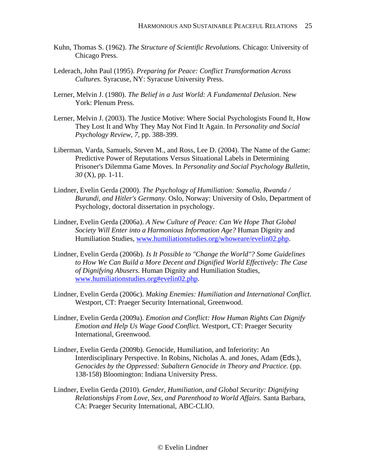- Kuhn, Thomas S. (1962). *The Structure of Scientific Revolutions.* Chicago: University of Chicago Press.
- Lederach, John Paul (1995). *Preparing for Peace: Conflict Transformation Across Cultures.* Syracuse, NY: Syracuse University Press.
- Lerner, Melvin J. (1980). *The Belief in a Just World: A Fundamental Delusion.* New York: Plenum Press.
- Lerner, Melvin J. (2003). The Justice Motive: Where Social Psychologists Found It, How They Lost It and Why They May Not Find It Again. In *Personality and Social Psychology Review, 7*, pp. 388-399.
- Liberman, Varda, Samuels, Steven M., and Ross, Lee D. (2004). The Name of the Game: Predictive Power of Reputations Versus Situational Labels in Determining Prisoner's Dilemma Game Moves. In *Personality and Social Psychology Bulletin, 30* (X), pp. 1-11.
- Lindner, Evelin Gerda (2000). *The Psychology of Humiliation: Somalia, Rwanda / Burundi, and Hitler's Germany.* Oslo, Norway: University of Oslo, Department of Psychology, doctoral dissertation in psychology.
- Lindner, Evelin Gerda (2006a). *A New Culture of Peace: Can We Hope That Global Society Will Enter into a Harmonious Information Age?* Human Dignity and Humiliation Studies, [www.humiliationstudies.org/whoweare/evelin02.php.](http://www.humiliationstudies.org/whoweare/evelin02.php)
- Lindner, Evelin Gerda (2006b). *Is It Possible to "Change the World"? Some Guidelines to How We Can Build a More Decent and Dignified World Effectively: The Case of Dignifying Abusers.* Human Dignity and Humiliation Studies, [www.humiliationstudies.org#evelin02.php.](http://www.humiliationstudies.org/#evelin02.php)
- Lindner, Evelin Gerda (2006c). *Making Enemies: Humiliation and International Conflict.*  Westport, CT: Praeger Security International, Greenwood.
- Lindner, Evelin Gerda (2009a). *Emotion and Conflict: How Human Rights Can Dignify Emotion and Help Us Wage Good Conflict.* Westport, CT: Praeger Security International, Greenwood.
- Lindner, Evelin Gerda (2009b). Genocide, Humiliation, and Inferiority: An Interdisciplinary Perspective. In Robins, Nicholas A. and Jones, Adam (Eds.), *Genocides by the Oppressed: Subaltern Genocide in Theory and Practice.* (pp. 138-158) Bloomington: Indiana University Press.
- Lindner, Evelin Gerda (2010). *Gender, Humiliation, and Global Security: Dignifying Relationships From Love, Sex, and Parenthood to World Affairs.* Santa Barbara, CA: Praeger Security International, ABC-CLIO.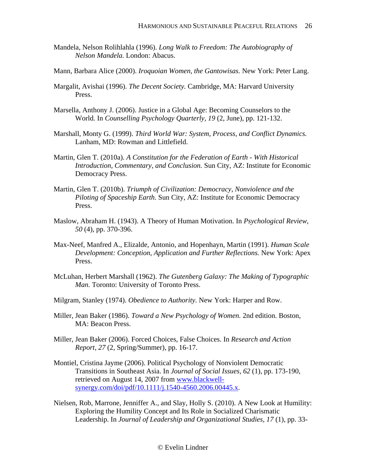- Mandela, Nelson Rolihlahla (1996). *Long Walk to Freedom: The Autobiography of Nelson Mandela.* London: Abacus.
- Mann, Barbara Alice (2000). *Iroquoian Women, the Gantowisas.* New York: Peter Lang.
- Margalit, Avishai (1996). *The Decent Society.* Cambridge, MA: Harvard University Press.
- Marsella, Anthony J. (2006). Justice in a Global Age: Becoming Counselors to the World. In *Counselling Psychology Quarterly, 19* (2, June), pp. 121-132.
- Marshall, Monty G. (1999). *Third World War: System, Process, and Conflict Dynamics.*  Lanham, MD: Rowman and Littlefield.
- Martin, Glen T. (2010a). *A Constitution for the Federation of Earth - With Historical Introduction, Commentary, and Conclusion.* Sun City, AZ: Institute for Economic Democracy Press.
- Martin, Glen T. (2010b). *Triumph of Civilization: Democracy, Nonviolence and the Piloting of Spaceship Earth.* Sun City, AZ: Institute for Economic Democracy Press.
- Maslow, Abraham H. (1943). A Theory of Human Motivation. In *Psychological Review, 50* (4), pp. 370-396.
- Max-Neef, Manfred A., Elizalde, Antonio, and Hopenhayn, Martin (1991). *Human Scale Development: Conception, Application and Further Reflections.* New York: Apex Press.
- McLuhan, Herbert Marshall (1962). *The Gutenberg Galaxy: The Making of Typographic Man.* Toronto: University of Toronto Press.
- Milgram, Stanley (1974). *Obedience to Authority.* New York: Harper and Row.
- Miller, Jean Baker (1986). *Toward a New Psychology of Women.* 2nd edition. Boston, MA: Beacon Press.
- Miller, Jean Baker (2006). Forced Choices, False Choices. In *Research and Action Report, 27* (2, Spring/Summer), pp. 16-17.
- Montiel, Cristina Jayme (2006). Political Psychology of Nonviolent Democratic Transitions in Southeast Asia. In *Journal of Social Issues, 62* (1), pp. 173-190, retrieved on August 14, 2007 from [www.blackwell](http://www.blackwell-synergy.com/doi/pdf/10.1111/j.1540-4560.2006.00445.x)[synergy.com/doi/pdf/10.1111/j.1540-4560.2006.00445.x.](http://www.blackwell-synergy.com/doi/pdf/10.1111/j.1540-4560.2006.00445.x)
- Nielsen, Rob, Marrone, Jenniffer A., and Slay, Holly S. (2010). A New Look at Humility: Exploring the Humility Concept and Its Role in Socialized Charismatic Leadership. In *Journal of Leadership and Organizational Studies, 17* (1), pp. 33-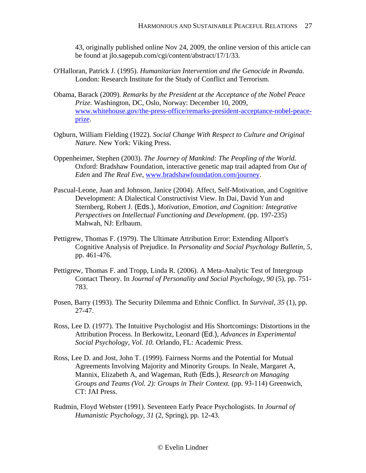43, originally published online Nov 24, 2009, the online version of this article can be found at jlo.sagepub.com/cgi/content/abstract/17/1/33.

- O'Halloran, Patrick J. (1995). *Humanitarian Intervention and the Genocide in Rwanda.*  London: Research Institute for the Study of Conflict and Terrorism.
- Obama, Barack (2009). *Remarks by the President at the Acceptance of the Nobel Peace Prize.* Washington, DC, Oslo, Norway: December 10, 2009, [www.whitehouse.gov/the-press-office/remarks-president-acceptance-nobel-peace](http://www.whitehouse.gov/the-press-office/remarks-president-acceptance-nobel-peace-prize)[prize.](http://www.whitehouse.gov/the-press-office/remarks-president-acceptance-nobel-peace-prize)
- Ogburn, William Fielding (1922). *Social Change With Respect to Culture and Original Nature.* New York: Viking Press.
- Oppenheimer, Stephen (2003). *The Journey of Mankind: The Peopling of the World.*  Oxford: Bradshaw Foundation, interactive genetic map trail adapted from *Out of Eden* and *The Real Eve*, [www.bradshawfoundation.com/journey.](http://www.bradshawfoundation.com/journey)
- Pascual-Leone, Juan and Johnson, Janice (2004). Affect, Self-Motivation, and Cognitive Development: A Dialectical Constructivist View. In Dai, David Yun and Sternberg, Robert J. (Eds.), *Motivation, Emotion, and Cognition: Integrative Perspectives on Intellectual Functioning and Development.* (pp. 197-235) Mahwah, NJ: Erlbaum.
- Pettigrew, Thomas F. (1979). The Ultimate Attribution Error: Extending Allport's Cognitive Analysis of Prejudice. In *Personality and Social Psychology Bulletin, 5*, pp. 461-476.
- Pettigrew, Thomas F. and Tropp, Linda R. (2006). A Meta-Analytic Test of Intergroup Contact Theory. In *Journal of Personality and Social Psychology, 90* (5), pp. 751- 783.
- Posen, Barry (1993). The Security Dilemma and Ethnic Conflict. In *Survival, 35* (1), pp. 27-47.
- Ross, Lee D. (1977). The Intuitive Psychologist and His Shortcomings: Distortions in the Attribution Process. In Berkowitz, Leonard (Ed.), *Advances in Experimental Social Psychology, Vol. 10.* Orlando, FL: Academic Press.
- Ross, Lee D. and Jost, John T. (1999). Fairness Norms and the Potential for Mutual Agreements Involving Majority and Minority Groups. In Neale, Margaret A, Mannix, Elizabeth A, and Wageman, Ruth (Eds.), *Research on Managing Groups and Teams (Vol. 2): Groups in Their Context.* (pp. 93-114) Greenwich, CT: JAI Press.
- Rudmin, Floyd Webster (1991). Seventeen Early Peace Psychologists. In *Journal of Humanistic Psychology, 31* (2, Spring), pp. 12-43.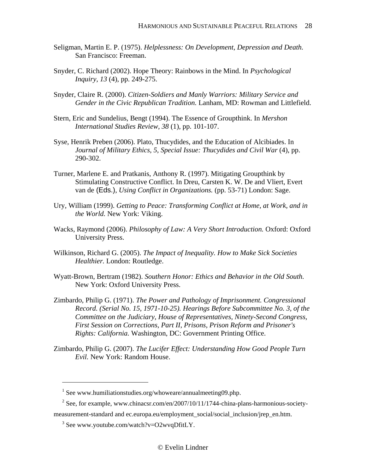- Seligman, Martin E. P. (1975). *Helplessness: On Development, Depression and Death.*  San Francisco: Freeman.
- Snyder, C. Richard (2002). Hope Theory: Rainbows in the Mind. In *Psychological Inquiry, 13* (4), pp. 249-275.
- Snyder, Claire R. (2000). *Citizen-Soldiers and Manly Warriors: Military Service and Gender in the Civic Republican Tradition.* Lanham, MD: Rowman and Littlefield.
- Stern, Eric and Sundelius, Bengt (1994). The Essence of Groupthink. In *Mershon International Studies Review, 38* (1), pp. 101-107.
- Syse, Henrik Preben (2006). Plato, Thucydides, and the Education of Alcibiades. In *Journal of Military Ethics, 5, Special Issue: Thucydides and Civil War* (4), pp. 290-302.
- Turner, Marlene E. and Pratkanis, Anthony R. (1997). Mitigating Groupthink by Stimulating Constructive Conflict. In Dreu, Carsten K. W. De and Vliert, Evert van de (Eds.), *Using Conflict in Organizations.* (pp. 53-71) London: Sage.
- Ury, William (1999). *Getting to Peace: Transforming Conflict at Home, at Work, and in the World.* New York: Viking.
- Wacks, Raymond (2006). *Philosophy of Law: A Very Short Introduction.* Oxford: Oxford University Press.
- Wilkinson, Richard G. (2005). *The Impact of Inequality. How to Make Sick Societies Healthier.* London: Routledge.
- Wyatt-Brown, Bertram (1982). *Southern Honor: Ethics and Behavior in the Old South.*  New York: Oxford University Press.
- Zimbardo, Philip G. (1971). *The Power and Pathology of Imprisonment. Congressional Record. (Serial No. 15, 1971-10-25). Hearings Before Subcommittee No. 3, of the Committee on the Judiciary, House of Representatives, Ninety-Second Congress, First Session on Corrections, Part II, Prisons, Prison Reform and Prisoner's Rights: California.* Washington, DC: Government Printing Office.
- Zimbardo, Philip G. (2007). *The Lucifer Effect: Understanding How Good People Turn Evil.* New York: Random House.

1

<sup>&</sup>lt;sup>1</sup> See www.humiliationstudies.org/whoweare/annualmeeting09.php.

<sup>&</sup>lt;sup>2</sup> See, for example, www.chinacsr.com/en/2007/10/11/1744-china-plans-harmonious-societymeasurement-standard and ec.europa.eu/employment\_social/social\_inclusion/jrep\_en.htm.

<sup>&</sup>lt;sup>3</sup> See www.youtube.com/watch?v=O2wvqDfitLY.